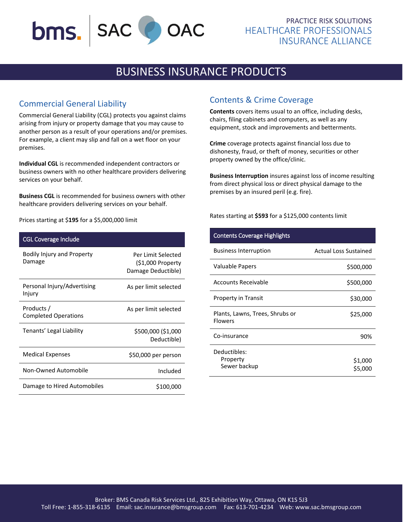# bms. | SAC OAC

## PRACTICE RISK SOLUTIONS HEALTHCARE PROFESSIONALS INSURANCE ALLIANCE

## BUSINESS INSURANCE PRODUCTS

## Commercial General Liability

Commercial General Liability (CGL) protects you against claims arising from injury or property damage that you may cause to another person as a result of your operations and/or premises. For example, a client may slip and fall on a wet floor on your premises.

**Individual CGL** is recommended independent contractors or business owners with no other healthcare providers delivering services on your behalf.

**Business CGL** is recommended for business owners with other healthcare providers delivering services on your behalf.

Prices starting at \$**195** for a \$5,000,000 limit

| <b>CGL Coverage Include</b>               |                                                                |
|-------------------------------------------|----------------------------------------------------------------|
| Bodily Injury and Property<br>Damage      | Per Limit Selected<br>$(51,000$ Property<br>Damage Deductible) |
| Personal Injury/Advertising<br>Injury     | As per limit selected                                          |
| Products /<br><b>Completed Operations</b> | As per limit selected                                          |
| Tenants' Legal Liability                  | \$500,000 (\$1,000<br>Deductible)                              |
| <b>Medical Expenses</b>                   | \$50,000 per person                                            |
| Non-Owned Automobile                      | Included                                                       |
| Damage to Hired Automobiles               | \$100,000                                                      |

## Contents & Crime Coverage

**Contents** covers items usual to an office, including desks, chairs, filing cabinets and computers, as well as any equipment, stock and improvements and betterments.

**Crime** coverage protects against financial loss due to dishonesty, fraud, or theft of money, securities or other property owned by the office/clinic.

**Business Interruption** insures against loss of income resulting from direct physical loss or direct physical damage to the premises by an insured peril (e.g. fire).

Rates starting at **\$593** for a \$125,000 contents limit

| <b>Contents Coverage Highlights</b>               |                              |
|---------------------------------------------------|------------------------------|
| <b>Business Interruption</b>                      | <b>Actual Loss Sustained</b> |
| Valuable Papers                                   | \$500,000                    |
| Accounts Receivable                               | \$500,000                    |
| <b>Property in Transit</b>                        | \$30,000                     |
| Plants, Lawns, Trees, Shrubs or<br><b>Flowers</b> | \$25,000                     |
| Co-insurance                                      | 90%                          |
| Deductibles:<br>Property<br>Sewer backup          | \$1,000<br>\$5,000           |